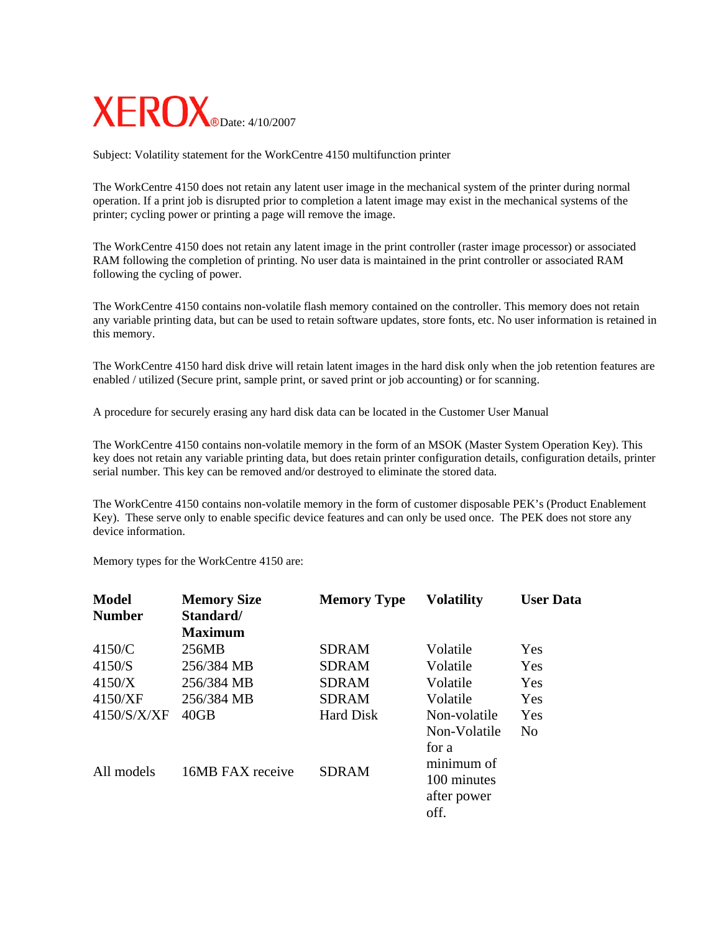

Subject: Volatility statement for the WorkCentre 4150 multifunction printer

The WorkCentre 4150 does not retain any latent user image in the mechanical system of the printer during normal operation. If a print job is disrupted prior to completion a latent image may exist in the mechanical systems of the printer; cycling power or printing a page will remove the image.

The WorkCentre 4150 does not retain any latent image in the print controller (raster image processor) or associated RAM following the completion of printing. No user data is maintained in the print controller or associated RAM following the cycling of power.

The WorkCentre 4150 contains non-volatile flash memory contained on the controller. This memory does not retain any variable printing data, but can be used to retain software updates, store fonts, etc. No user information is retained in this memory.

The WorkCentre 4150 hard disk drive will retain latent images in the hard disk only when the job retention features are enabled / utilized (Secure print, sample print, or saved print or job accounting) or for scanning.

A procedure for securely erasing any hard disk data can be located in the Customer User Manual

The WorkCentre 4150 contains non-volatile memory in the form of an MSOK (Master System Operation Key). This key does not retain any variable printing data, but does retain printer configuration details, configuration details, printer serial number. This key can be removed and/or destroyed to eliminate the stored data.

The WorkCentre 4150 contains non-volatile memory in the form of customer disposable PEK's (Product Enablement Key). These serve only to enable specific device features and can only be used once. The PEK does not store any device information.

Memory types for the WorkCentre 4150 are:

| <b>Model</b><br><b>Number</b>         | <b>Memory Size</b><br>Standard/<br><b>Maximum</b> | <b>Memory Type</b>                                           | <b>Volatility</b>                                                                         | <b>User Data</b>         |
|---------------------------------------|---------------------------------------------------|--------------------------------------------------------------|-------------------------------------------------------------------------------------------|--------------------------|
| 4150/C<br>4150/S<br>4150/X<br>4150/XF | 256MB<br>256/384 MB<br>256/384 MB<br>256/384 MB   | <b>SDRAM</b><br><b>SDRAM</b><br><b>SDRAM</b><br><b>SDRAM</b> | Volatile<br>Volatile<br>Volatile<br>Volatile                                              | Yes<br>Yes<br>Yes<br>Yes |
| 4150/S/X/XF<br>All models             | 40GB<br>16MB FAX receive                          | Hard Disk<br><b>SDRAM</b>                                    | Non-volatile<br>Non-Volatile<br>for a<br>minimum of<br>100 minutes<br>after power<br>off. | Yes<br>N <sub>0</sub>    |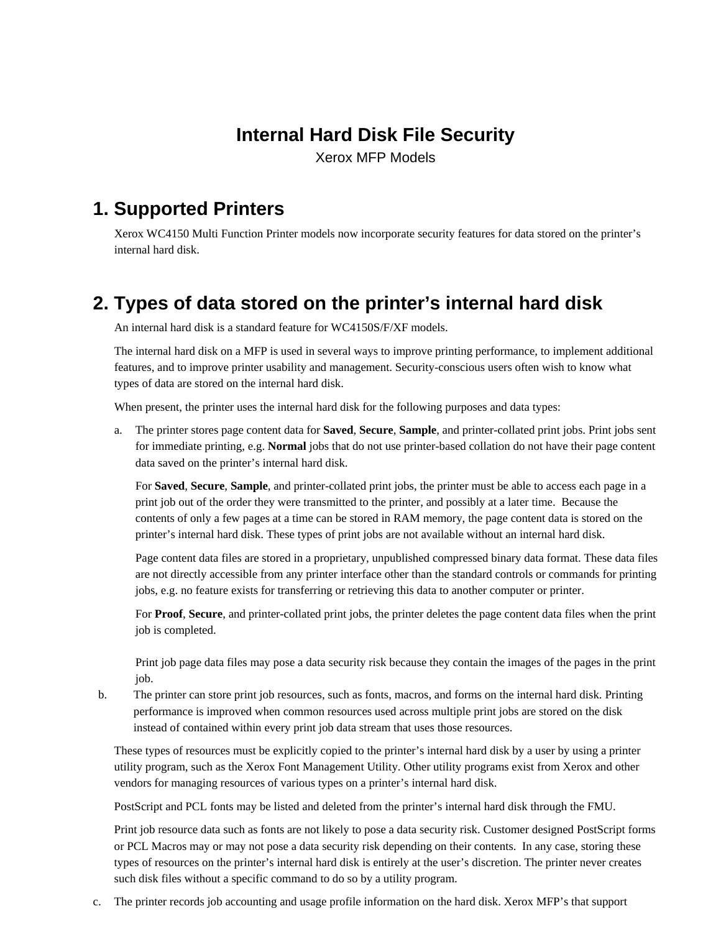# **Internal Hard Disk File Security**

Xerox MFP Models

# **1. Supported Printers**

Xerox WC4150 Multi Function Printer models now incorporate security features for data stored on the printer's internal hard disk.

# **2. Types of data stored on the printer's internal hard disk**

An internal hard disk is a standard feature for WC4150S/F/XF models.

The internal hard disk on a MFP is used in several ways to improve printing performance, to implement additional features, and to improve printer usability and management. Security-conscious users often wish to know what types of data are stored on the internal hard disk.

When present, the printer uses the internal hard disk for the following purposes and data types:

a. The printer stores page content data for **Saved**, **Secure**, **Sample**, and printer-collated print jobs. Print jobs sent for immediate printing, e.g. **Normal** jobs that do not use printer-based collation do not have their page content data saved on the printer's internal hard disk.

For **Saved**, **Secure**, **Sample**, and printer-collated print jobs, the printer must be able to access each page in a print job out of the order they were transmitted to the printer, and possibly at a later time. Because the contents of only a few pages at a time can be stored in RAM memory, the page content data is stored on the printer's internal hard disk. These types of print jobs are not available without an internal hard disk.

Page content data files are stored in a proprietary, unpublished compressed binary data format. These data files are not directly accessible from any printer interface other than the standard controls or commands for printing jobs, e.g. no feature exists for transferring or retrieving this data to another computer or printer.

For **Proof**, **Secure**, and printer-collated print jobs, the printer deletes the page content data files when the print job is completed.

Print job page data files may pose a data security risk because they contain the images of the pages in the print job.

b. The printer can store print job resources, such as fonts, macros, and forms on the internal hard disk. Printing performance is improved when common resources used across multiple print jobs are stored on the disk instead of contained within every print job data stream that uses those resources.

These types of resources must be explicitly copied to the printer's internal hard disk by a user by using a printer utility program, such as the Xerox Font Management Utility. Other utility programs exist from Xerox and other vendors for managing resources of various types on a printer's internal hard disk.

PostScript and PCL fonts may be listed and deleted from the printer's internal hard disk through the FMU.

Print job resource data such as fonts are not likely to pose a data security risk. Customer designed PostScript forms or PCL Macros may or may not pose a data security risk depending on their contents. In any case, storing these types of resources on the printer's internal hard disk is entirely at the user's discretion. The printer never creates such disk files without a specific command to do so by a utility program.

c. The printer records job accounting and usage profile information on the hard disk. Xerox MFP's that support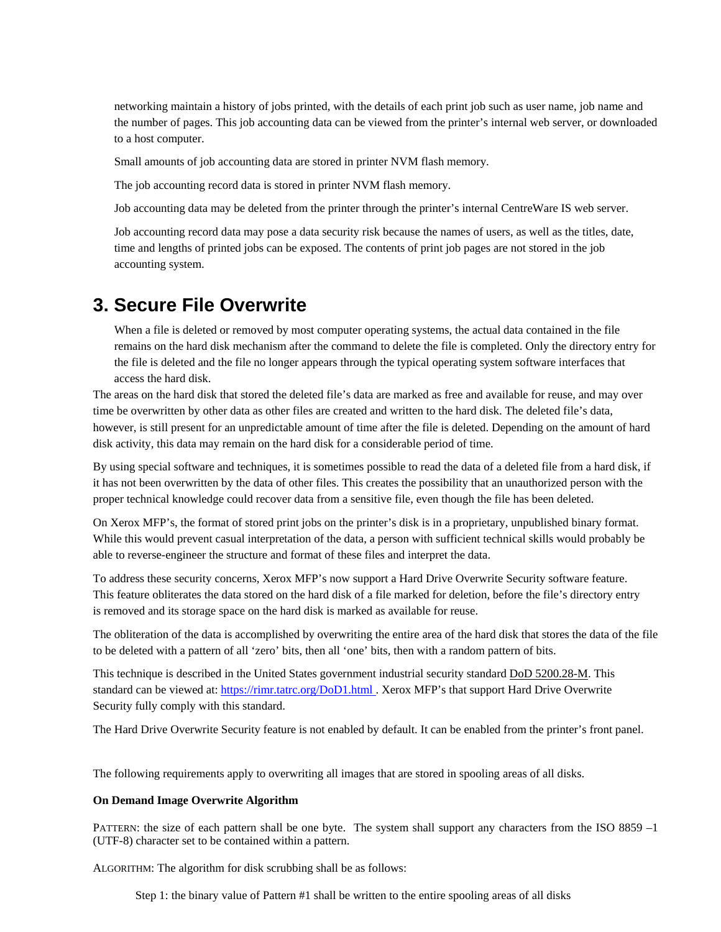networking maintain a history of jobs printed, with the details of each print job such as user name, job name and the number of pages. This job accounting data can be viewed from the printer's internal web server, or downloaded to a host computer.

Small amounts of job accounting data are stored in printer NVM flash memory.

The job accounting record data is stored in printer NVM flash memory.

Job accounting data may be deleted from the printer through the printer's internal CentreWare IS web server.

Job accounting record data may pose a data security risk because the names of users, as well as the titles, date, time and lengths of printed jobs can be exposed. The contents of print job pages are not stored in the job accounting system.

#### **3. Secure File Overwrite**

When a file is deleted or removed by most computer operating systems, the actual data contained in the file remains on the hard disk mechanism after the command to delete the file is completed. Only the directory entry for the file is deleted and the file no longer appears through the typical operating system software interfaces that access the hard disk.

The areas on the hard disk that stored the deleted file's data are marked as free and available for reuse, and may over time be overwritten by other data as other files are created and written to the hard disk. The deleted file's data, however, is still present for an unpredictable amount of time after the file is deleted. Depending on the amount of hard disk activity, this data may remain on the hard disk for a considerable period of time.

By using special software and techniques, it is sometimes possible to read the data of a deleted file from a hard disk, if it has not been overwritten by the data of other files. This creates the possibility that an unauthorized person with the proper technical knowledge could recover data from a sensitive file, even though the file has been deleted.

On Xerox MFP's, the format of stored print jobs on the printer's disk is in a proprietary, unpublished binary format. While this would prevent casual interpretation of the data, a person with sufficient technical skills would probably be able to reverse-engineer the structure and format of these files and interpret the data.

To address these security concerns, Xerox MFP's now support a Hard Drive Overwrite Security software feature. This feature obliterates the data stored on the hard disk of a file marked for deletion, before the file's directory entry is removed and its storage space on the hard disk is marked as available for reuse.

The obliteration of the data is accomplished by overwriting the entire area of the hard disk that stores the data of the file to be deleted with a pattern of all 'zero' bits, then all 'one' bits, then with a random pattern of bits.

This technique is described in the United States government industrial security standard DoD 5200.28-M. This standard can be viewed at: <https://rimr.tatrc.org/DoD1.html>. Xerox MFP's that support Hard Drive Overwrite Security fully comply with this standard.

The Hard Drive Overwrite Security feature is not enabled by default. It can be enabled from the printer's front panel.

The following requirements apply to overwriting all images that are stored in spooling areas of all disks.

#### **On Demand Image Overwrite Algorithm**

PATTERN: the size of each pattern shall be one byte. The system shall support any characters from the ISO 8859 -1 (UTF-8) character set to be contained within a pattern.

ALGORITHM: The algorithm for disk scrubbing shall be as follows:

Step 1: the binary value of Pattern #1 shall be written to the entire spooling areas of all disks